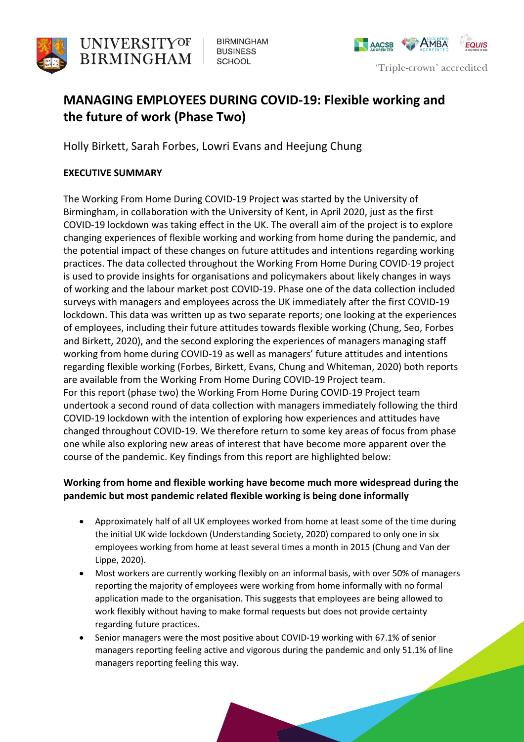

**BIRMINGHAM BUSINESS SCHOOL** 



# **MANAGING EMPLOYEES DURING COVID-19: Flexible working and the future of work (Phase Two)**

Holly Birkett, Sarah Forbes, Lowri Evans and Heejung Chung

## **EXECUTIVE SUMMARY**

 The Working From Home During COVID-19 Project was started by the University of Birmingham, in collaboration with the University of Kent, in April 2020, just as the first COVID-19 lockdown was taking effect in the UK. The overall aim of the project is to explore changing experiences of flexible working and working from home during the pandemic, and the potential impact of these changes on future attitudes and intentions regarding working practices. The data collected throughout the Working From Home During COVID-19 project is used to provide insights for organisations and policymakers about likely changes in ways of working and the labour market post COVID-19. Phase one of the data collection included surveys with managers and employees across the UK immediately after the first COVID-19 lockdown. This data was written up as two separate reports; one looking at the experiences of employees, including their future attitudes towards flexible working (Chung, Seo, Forbes and Birkett, 2020), and the second exploring the experiences of managers managing staff working from home during COVID-19 as well as managers' future attitudes and intentions regarding flexible working (Forbes, Birkett, Evans, Chung and Whiteman, 2020) both reports are available from the Working From Home During COVID-19 Project team. For this report (phase two) the Working From Home During COVID-19 Project team undertook a second round of data collection with managers immediately following the third COVID-19 lockdown with the intention of exploring how experiences and attitudes have changed throughout COVID-19. We therefore return to some key areas of focus from phase one while also exploring new areas of interest that have become more apparent over the course of the pandemic. Key findings from this report are highlighted below:

# **Working from home and flexible working have become much more widespread during the pandemic but most pandemic related flexible working is being done informally**

- • Approximately half of all UK employees worked from home at least some of the time during the initial UK wide lockdown (Understanding Society, 2020) compared to only one in six employees working from home at least several times a month in 2015 (Chung and Van der Lippe, 2020).
- • Most workers are currently working flexibly on an informal basis, with over 50% of managers reporting the majority of employees were working from home informally with no formal application made to the organisation. This suggests that employees are being allowed to work flexibly without having to make formal requests but does not provide certainty regarding future practices.
- • Senior managers were the most positive about COVID-19 working with 67.1% of senior managers reporting feeling active and vigorous during the pandemic and only 51.1% of line managers reporting feeling this way.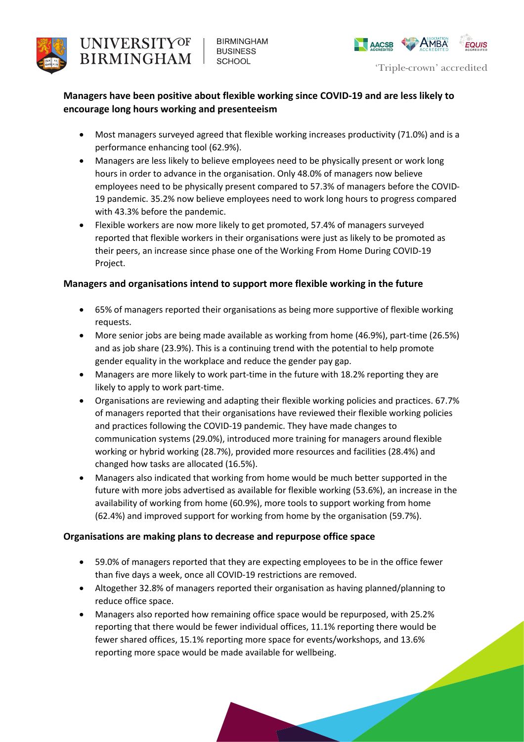



# **Managers have been positive about flexible working since COVID-19 and are less likely to encourage long hours working and presenteeism**

- • Most managers surveyed agreed that flexible working increases productivity (71.0%) and is a performance enhancing tool (62.9%).
- • Managers are less likely to believe employees need to be physically present or work long hours in order to advance in the organisation. Only 48.0% of managers now believe employees need to be physically present compared to 57.3% of managers before the COVID- 19 pandemic. 35.2% now believe employees need to work long hours to progress compared with 43.3% before the pandemic.
- • Flexible workers are now more likely to get promoted, 57.4% of managers surveyed their peers, an increase since phase one of the Working From Home During COVID-19 reported that flexible workers in their organisations were just as likely to be promoted as Project.

## **Managers and organisations intend to support more flexible working in the future**

- • 65% of managers reported their organisations as being more supportive of flexible working requests.
- • More senior jobs are being made available as working from home (46.9%), part-time (26.5%) and as job share (23.9%). This is a continuing trend with the potential to help promote gender equality in the workplace and reduce the gender pay gap.
- • Managers are more likely to work part-time in the future with 18.2% reporting they are likely to apply to work part-time.
- • Organisations are reviewing and adapting their flexible working policies and practices. 67.7% of managers reported that their organisations have reviewed their flexible working policies working or hybrid working (28.7%), provided more resources and facilities (28.4%) and changed how tasks are allocated (16.5%). and practices following the COVID-19 pandemic. They have made changes to communication systems (29.0%), introduced more training for managers around flexible
- • Managers also indicated that working from home would be much better supported in the availability of working from home (60.9%), more tools to support working from home future with more jobs advertised as available for flexible working (53.6%), an increase in the (62.4%) and improved support for working from home by the organisation (59.7%).

#### **Organisations are making plans to decrease and repurpose office space**

- • 59.0% of managers reported that they are expecting employees to be in the office fewer than five days a week, once all COVID-19 restrictions are removed.
- • Altogether 32.8% of managers reported their organisation as having planned/planning to reduce office space.
- • Managers also reported how remaining office space would be repurposed, with 25.2% reporting that there would be fewer individual offices, 11.1% reporting there would be reporting more space would be made available for wellbeing. fewer shared offices, 15.1% reporting more space for events/workshops, and 13.6%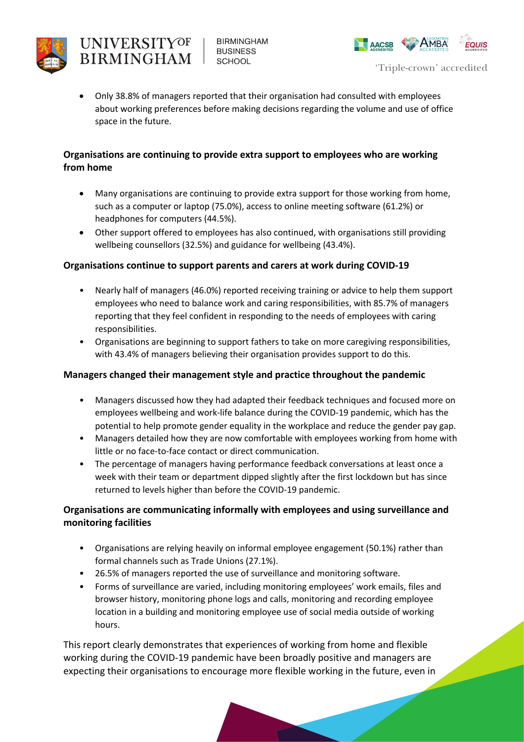

**BIRMINGHAM BUSINESS SCHOOL** 



 • Only 38.8% of managers reported that their organisation had consulted with employees about working preferences before making decisions regarding the volume and use of office space in the future.

## **Organisations are continuing to provide extra support to employees who are working from home**

- • Many organisations are continuing to provide extra support for those working from home, such as a computer or laptop (75.0%), access to online meeting software (61.2%) or headphones for computers (44.5%).
- • Other support offered to employees has also continued, with organisations still providing wellbeing counsellors (32.5%) and guidance for wellbeing (43.4%).

## **Organisations continue to support parents and carers at work during COVID-19**

- • Nearly half of managers (46.0%) reported receiving training or advice to help them support employees who need to balance work and caring responsibilities, with 85.7% of managers reporting that they feel confident in responding to the needs of employees with caring responsibilities.
- • Organisations are beginning to support fathers to take on more caregiving responsibilities, with 43.4% of managers believing their organisation provides support to do this.

## **Managers changed their management style and practice throughout the pandemic**

- • Managers discussed how they had adapted their feedback techniques and focused more on employees wellbeing and work-life balance during the COVID-19 pandemic, which has the potential to help promote gender equality in the workplace and reduce the gender pay gap.
- • Managers detailed how they are now comfortable with employees working from home with little or no face-to-face contact or direct communication.
- • The percentage of managers having performance feedback conversations at least once a week with their team or department dipped slightly after the first lockdown but has since returned to levels higher than before the COVID-19 pandemic.

# **Organisations are communicating informally with employees and using surveillance and monitoring facilities**

- • Organisations are relying heavily on informal employee engagement (50.1%) rather than formal channels such as Trade Unions (27.1%).
- 26.5% of managers reported the use of surveillance and monitoring software.
- • Forms of surveillance are varied, including monitoring employees' work emails, files and browser history, monitoring phone logs and calls, monitoring and recording employee location in a building and monitoring employee use of social media outside of working hours.

 This report clearly demonstrates that experiences of working from home and flexible working during the COVID-19 pandemic have been broadly positive and managers are expecting their organisations to encourage more flexible working in the future, even in